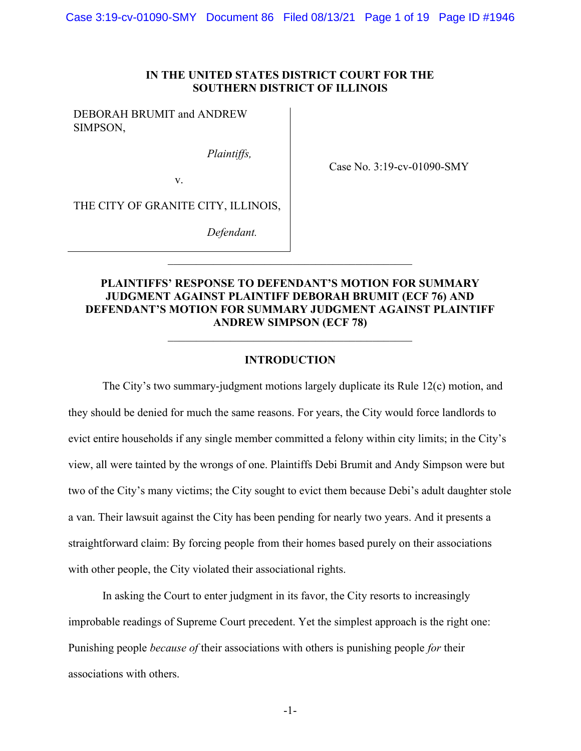#### IN THE UNITED STATES DISTRICT COURT FOR THE SOUTHERN DISTRICT OF ILLINOIS

DEBORAH BRUMIT and ANDREW SIMPSON,

Plaintiffs,

Case No. 3:19-cv-01090-SMY

THE CITY OF GRANITE CITY, ILLINOIS,

v.

Defendant.

# PLAINTIFFS' RESPONSE TO DEFENDANT'S MOTION FOR SUMMARY JUDGMENT AGAINST PLAINTIFF DEBORAH BRUMIT (ECF 76) AND DEFENDANT'S MOTION FOR SUMMARY JUDGMENT AGAINST PLAINTIFF ANDREW SIMPSON (ECF 78)

#### INTRODUCTION

The City's two summary-judgment motions largely duplicate its Rule 12(c) motion, and they should be denied for much the same reasons. For years, the City would force landlords to evict entire households if any single member committed a felony within city limits; in the City's view, all were tainted by the wrongs of one. Plaintiffs Debi Brumit and Andy Simpson were but two of the City's many victims; the City sought to evict them because Debi's adult daughter stole a van. Their lawsuit against the City has been pending for nearly two years. And it presents a straightforward claim: By forcing people from their homes based purely on their associations with other people, the City violated their associational rights.

In asking the Court to enter judgment in its favor, the City resorts to increasingly improbable readings of Supreme Court precedent. Yet the simplest approach is the right one: Punishing people *because of their associations* with others is punishing people for their associations with others.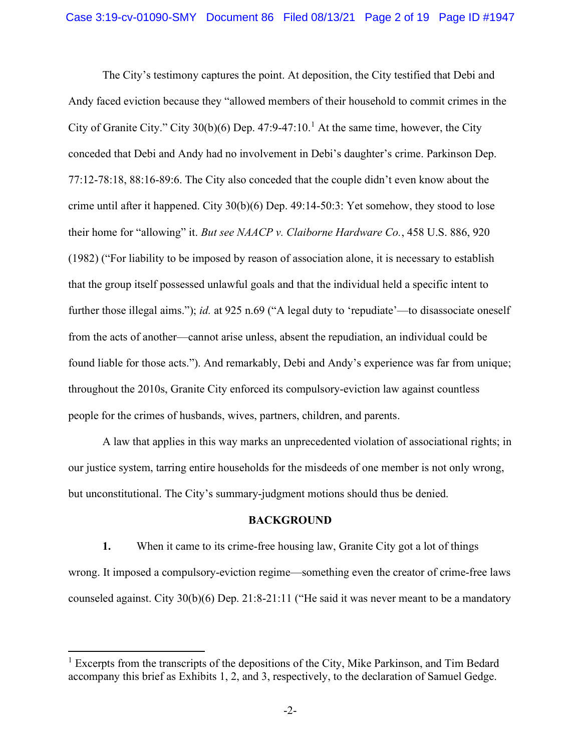The City's testimony captures the point. At deposition, the City testified that Debi and Andy faced eviction because they "allowed members of their household to commit crimes in the City of Granite City." City  $30(b)(6)$  Dep.  $47:9-47:10$ .<sup>1</sup> At the same time, however, the City conceded that Debi and Andy had no involvement in Debi's daughter's crime. Parkinson Dep. 77:12-78:18, 88:16-89:6. The City also conceded that the couple didn't even know about the crime until after it happened. City 30(b)(6) Dep. 49:14-50:3: Yet somehow, they stood to lose their home for "allowing" it. But see NAACP v. Claiborne Hardware Co., 458 U.S. 886, 920 (1982) ("For liability to be imposed by reason of association alone, it is necessary to establish that the group itself possessed unlawful goals and that the individual held a specific intent to further those illegal aims."); *id.* at 925 n.69 ("A legal duty to 'repudiate'—to disassociate oneself from the acts of another—cannot arise unless, absent the repudiation, an individual could be found liable for those acts."). And remarkably, Debi and Andy's experience was far from unique; throughout the 2010s, Granite City enforced its compulsory-eviction law against countless people for the crimes of husbands, wives, partners, children, and parents.

A law that applies in this way marks an unprecedented violation of associational rights; in our justice system, tarring entire households for the misdeeds of one member is not only wrong, but unconstitutional. The City's summary-judgment motions should thus be denied.

#### BACKGROUND

1. When it came to its crime-free housing law, Granite City got a lot of things wrong. It imposed a compulsory-eviction regime—something even the creator of crime-free laws counseled against. City 30(b)(6) Dep. 21:8-21:11 ("He said it was never meant to be a mandatory

<sup>&</sup>lt;sup>1</sup> Excerpts from the transcripts of the depositions of the City, Mike Parkinson, and Tim Bedard accompany this brief as Exhibits 1, 2, and 3, respectively, to the declaration of Samuel Gedge.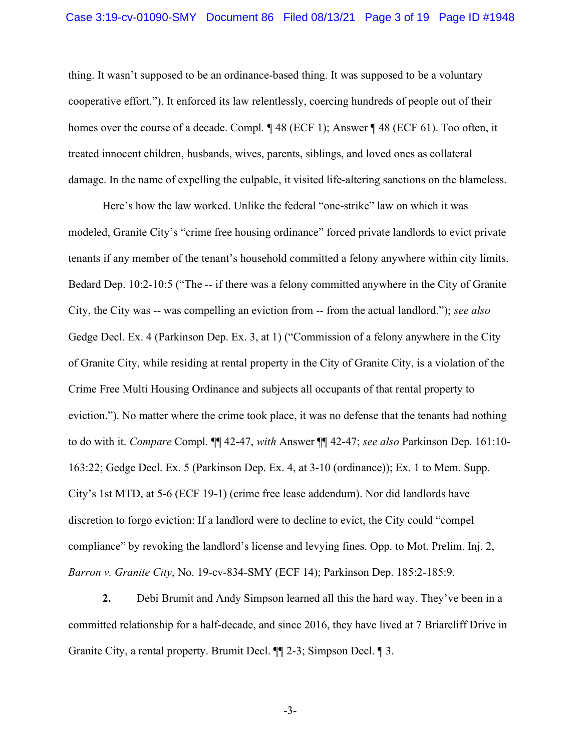thing. It wasn't supposed to be an ordinance-based thing. It was supposed to be a voluntary cooperative effort."). It enforced its law relentlessly, coercing hundreds of people out of their homes over the course of a decade. Compl. ¶ 48 (ECF 1); Answer ¶ 48 (ECF 61). Too often, it treated innocent children, husbands, wives, parents, siblings, and loved ones as collateral damage. In the name of expelling the culpable, it visited life-altering sanctions on the blameless.

Here's how the law worked. Unlike the federal "one-strike" law on which it was modeled, Granite City's "crime free housing ordinance" forced private landlords to evict private tenants if any member of the tenant's household committed a felony anywhere within city limits. Bedard Dep. 10:2-10:5 ("The -- if there was a felony committed anywhere in the City of Granite City, the City was -- was compelling an eviction from -- from the actual landlord."); see also Gedge Decl. Ex. 4 (Parkinson Dep. Ex. 3, at 1) ("Commission of a felony anywhere in the City of Granite City, while residing at rental property in the City of Granite City, is a violation of the Crime Free Multi Housing Ordinance and subjects all occupants of that rental property to eviction."). No matter where the crime took place, it was no defense that the tenants had nothing to do with it. Compare Compl. II 42-47, with Answer II 42-47; see also Parkinson Dep. 161:10-163:22; Gedge Decl. Ex. 5 (Parkinson Dep. Ex. 4, at 3-10 (ordinance)); Ex. 1 to Mem. Supp. City's 1st MTD, at 5-6 (ECF 19-1) (crime free lease addendum). Nor did landlords have discretion to forgo eviction: If a landlord were to decline to evict, the City could "compel compliance" by revoking the landlord's license and levying fines. Opp. to Mot. Prelim. Inj. 2, Barron v. Granite City, No. 19-cv-834-SMY (ECF 14); Parkinson Dep. 185:2-185:9.

2. Debi Brumit and Andy Simpson learned all this the hard way. They've been in a committed relationship for a half-decade, and since 2016, they have lived at 7 Briarcliff Drive in Granite City, a rental property. Brumit Decl. ¶¶ 2-3; Simpson Decl. ¶ 3.

-3-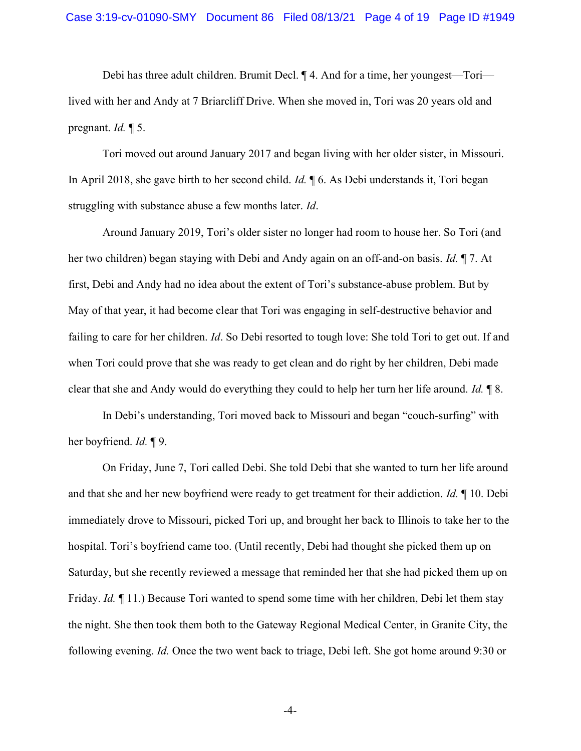Debi has three adult children. Brumit Decl. ¶ 4. And for a time, her youngest—Tori lived with her and Andy at 7 Briarcliff Drive. When she moved in, Tori was 20 years old and pregnant.  $Id. \P 5$ .

Tori moved out around January 2017 and began living with her older sister, in Missouri. In April 2018, she gave birth to her second child. Id.  $\parallel$  6. As Debi understands it, Tori began struggling with substance abuse a few months later. Id.

Around January 2019, Tori's older sister no longer had room to house her. So Tori (and her two children) began staying with Debi and Andy again on an off-and-on basis. Id. ¶ 7. At first, Debi and Andy had no idea about the extent of Tori's substance-abuse problem. But by May of that year, it had become clear that Tori was engaging in self-destructive behavior and failing to care for her children. *Id*. So Debi resorted to tough love: She told Tori to get out. If and when Tori could prove that she was ready to get clean and do right by her children, Debi made clear that she and Andy would do everything they could to help her turn her life around. Id. ¶ 8.

In Debi's understanding, Tori moved back to Missouri and began "couch-surfing" with her boyfriend. *Id.* ¶ 9.

On Friday, June 7, Tori called Debi. She told Debi that she wanted to turn her life around and that she and her new boyfriend were ready to get treatment for their addiction. Id. ¶ 10. Debi immediately drove to Missouri, picked Tori up, and brought her back to Illinois to take her to the hospital. Tori's boyfriend came too. (Until recently, Debi had thought she picked them up on Saturday, but she recently reviewed a message that reminded her that she had picked them up on Friday. *Id.* ¶ 11.) Because Tori wanted to spend some time with her children, Debi let them stay the night. She then took them both to the Gateway Regional Medical Center, in Granite City, the following evening. Id. Once the two went back to triage, Debi left. She got home around 9:30 or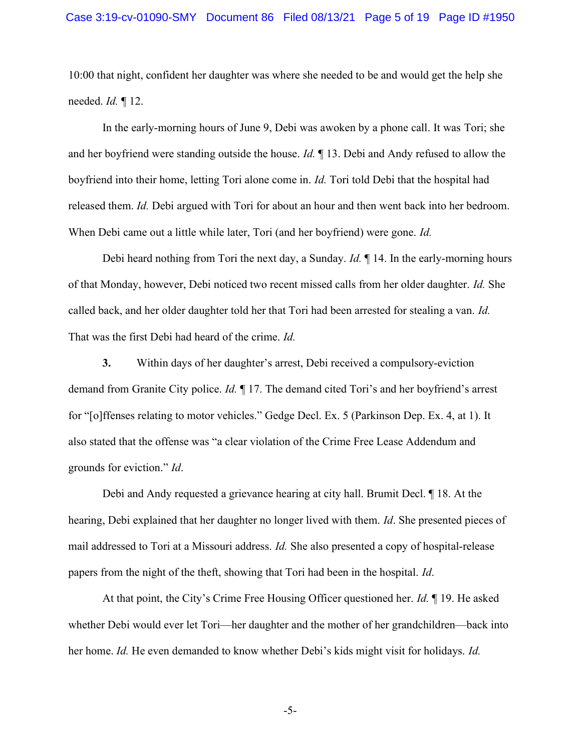10:00 that night, confident her daughter was where she needed to be and would get the help she needed.  $Id. \P 12$ .

In the early-morning hours of June 9, Debi was awoken by a phone call. It was Tori; she and her boyfriend were standing outside the house. Id. ¶ 13. Debi and Andy refused to allow the boyfriend into their home, letting Tori alone come in. Id. Tori told Debi that the hospital had released them. Id. Debi argued with Tori for about an hour and then went back into her bedroom. When Debi came out a little while later, Tori (and her boyfriend) were gone. Id.

Debi heard nothing from Tori the next day, a Sunday. *Id.* If 14. In the early-morning hours of that Monday, however, Debi noticed two recent missed calls from her older daughter. Id. She called back, and her older daughter told her that Tori had been arrested for stealing a van. Id. That was the first Debi had heard of the crime. Id.

3. Within days of her daughter's arrest, Debi received a compulsory-eviction demand from Granite City police. Id. ¶ 17. The demand cited Tori's and her boyfriend's arrest for "[o]ffenses relating to motor vehicles." Gedge Decl. Ex. 5 (Parkinson Dep. Ex. 4, at 1). It also stated that the offense was "a clear violation of the Crime Free Lease Addendum and grounds for eviction." Id.

Debi and Andy requested a grievance hearing at city hall. Brumit Decl. ¶ 18. At the hearing, Debi explained that her daughter no longer lived with them. Id. She presented pieces of mail addressed to Tori at a Missouri address. Id. She also presented a copy of hospital-release papers from the night of the theft, showing that Tori had been in the hospital. Id.

At that point, the City's Crime Free Housing Officer questioned her. Id. ¶ 19. He asked whether Debi would ever let Tori—her daughter and the mother of her grandchildren—back into her home. Id. He even demanded to know whether Debi's kids might visit for holidays. Id.

-5-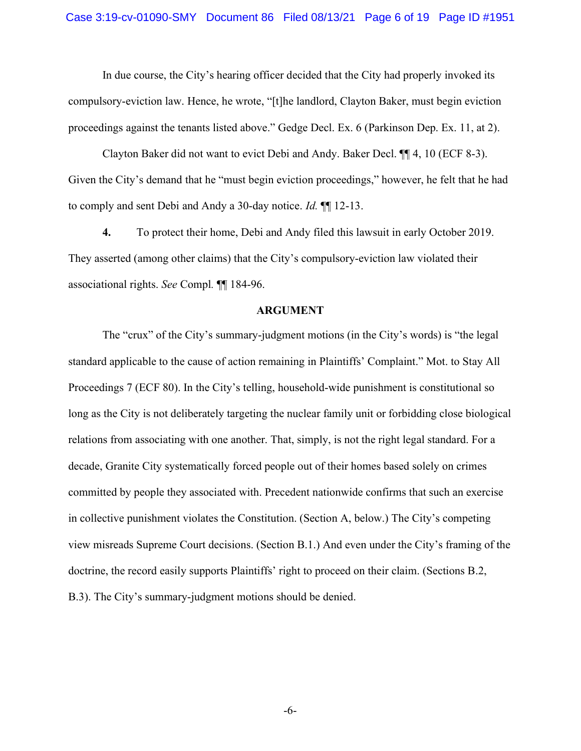In due course, the City's hearing officer decided that the City had properly invoked its compulsory-eviction law. Hence, he wrote, "[t]he landlord, Clayton Baker, must begin eviction proceedings against the tenants listed above." Gedge Decl. Ex. 6 (Parkinson Dep. Ex. 11, at 2).

Clayton Baker did not want to evict Debi and Andy. Baker Decl. ¶¶ 4, 10 (ECF 8-3). Given the City's demand that he "must begin eviction proceedings," however, he felt that he had to comply and sent Debi and Andy a 30-day notice. Id. ¶¶ 12-13.

4. To protect their home, Debi and Andy filed this lawsuit in early October 2019. They asserted (among other claims) that the City's compulsory-eviction law violated their associational rights. See Compl. ¶¶ 184-96.

#### ARGUMENT

The "crux" of the City's summary-judgment motions (in the City's words) is "the legal standard applicable to the cause of action remaining in Plaintiffs' Complaint." Mot. to Stay All Proceedings 7 (ECF 80). In the City's telling, household-wide punishment is constitutional so long as the City is not deliberately targeting the nuclear family unit or forbidding close biological relations from associating with one another. That, simply, is not the right legal standard. For a decade, Granite City systematically forced people out of their homes based solely on crimes committed by people they associated with. Precedent nationwide confirms that such an exercise in collective punishment violates the Constitution. (Section A, below.) The City's competing view misreads Supreme Court decisions. (Section B.1.) And even under the City's framing of the doctrine, the record easily supports Plaintiffs' right to proceed on their claim. (Sections B.2, B.3). The City's summary-judgment motions should be denied.

-6-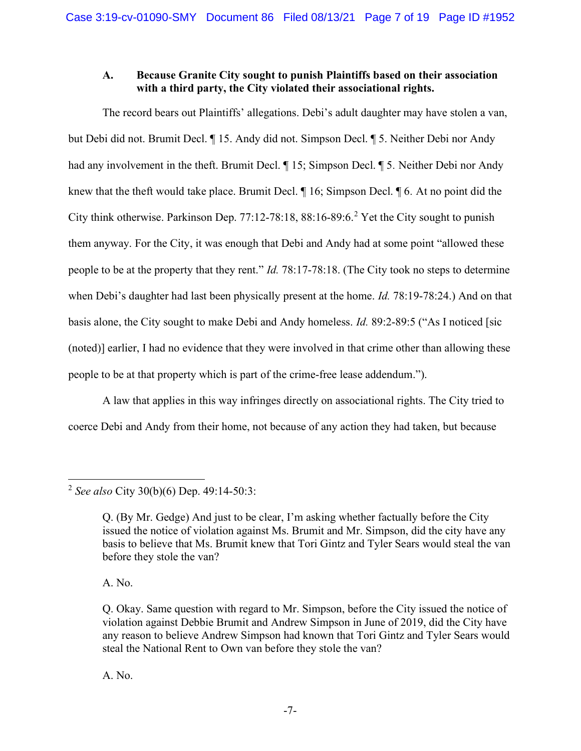#### A. Because Granite City sought to punish Plaintiffs based on their association with a third party, the City violated their associational rights.

The record bears out Plaintiffs' allegations. Debi's adult daughter may have stolen a van, but Debi did not. Brumit Decl. ¶ 15. Andy did not. Simpson Decl. ¶ 5. Neither Debi nor Andy had any involvement in the theft. Brumit Decl.  $\P$  15; Simpson Decl.  $\P$  5. Neither Debi nor Andy knew that the theft would take place. Brumit Decl.  $\parallel$  16; Simpson Decl.  $\parallel$  6. At no point did the City think otherwise. Parkinson Dep.  $77:12-78:18$ ,  $88:16-89:6.2$  Yet the City sought to punish them anyway. For the City, it was enough that Debi and Andy had at some point "allowed these people to be at the property that they rent." Id. 78:17-78:18. (The City took no steps to determine when Debi's daughter had last been physically present at the home. *Id.* 78:19-78:24.) And on that basis alone, the City sought to make Debi and Andy homeless. Id. 89:2-89:5 ("As I noticed [sic (noted)] earlier, I had no evidence that they were involved in that crime other than allowing these people to be at that property which is part of the crime-free lease addendum.").

A law that applies in this way infringes directly on associational rights. The City tried to coerce Debi and Andy from their home, not because of any action they had taken, but because

A. No.

A. No.

<sup>&</sup>lt;sup>2</sup> See also City 30(b)(6) Dep.  $49:14-50:3$ :

Q. (By Mr. Gedge) And just to be clear, I'm asking whether factually before the City issued the notice of violation against Ms. Brumit and Mr. Simpson, did the city have any basis to believe that Ms. Brumit knew that Tori Gintz and Tyler Sears would steal the van before they stole the van?

Q. Okay. Same question with regard to Mr. Simpson, before the City issued the notice of violation against Debbie Brumit and Andrew Simpson in June of 2019, did the City have any reason to believe Andrew Simpson had known that Tori Gintz and Tyler Sears would steal the National Rent to Own van before they stole the van?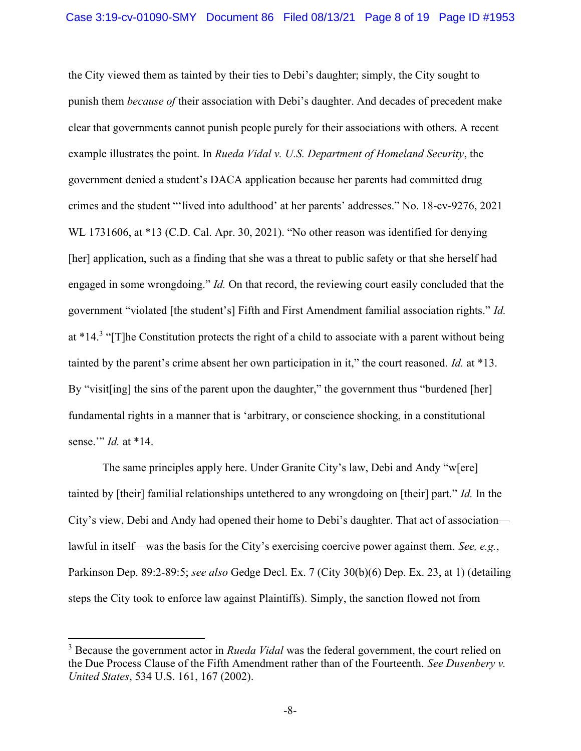the City viewed them as tainted by their ties to Debi's daughter; simply, the City sought to punish them because of their association with Debi's daughter. And decades of precedent make clear that governments cannot punish people purely for their associations with others. A recent example illustrates the point. In Rueda Vidal v. U.S. Department of Homeland Security, the government denied a student's DACA application because her parents had committed drug crimes and the student "'lived into adulthood' at her parents' addresses." No. 18-cv-9276, 2021 WL 1731606, at \*13 (C.D. Cal. Apr. 30, 2021). "No other reason was identified for denying [her] application, such as a finding that she was a threat to public safety or that she herself had engaged in some wrongdoing." Id. On that record, the reviewing court easily concluded that the government "violated [the student's] Fifth and First Amendment familial association rights." Id. at \*14.<sup>3</sup> "[T]he Constitution protects the right of a child to associate with a parent without being tainted by the parent's crime absent her own participation in it," the court reasoned. Id. at \*13. By "visit [ing] the sins of the parent upon the daughter," the government thus "burdened [her] fundamental rights in a manner that is 'arbitrary, or conscience shocking, in a constitutional sense." *Id.* at \*14.

The same principles apply here. Under Granite City's law, Debi and Andy "w[ere] tainted by [their] familial relationships untethered to any wrongdoing on [their] part." Id. In the City's view, Debi and Andy had opened their home to Debi's daughter. That act of association lawful in itself—was the basis for the City's exercising coercive power against them. See, e.g., Parkinson Dep. 89:2-89:5; see also Gedge Decl. Ex. 7 (City 30(b)(6) Dep. Ex. 23, at 1) (detailing steps the City took to enforce law against Plaintiffs). Simply, the sanction flowed not from

 $3$  Because the government actor in *Rueda Vidal* was the federal government, the court relied on the Due Process Clause of the Fifth Amendment rather than of the Fourteenth. See Dusenbery v. United States, 534 U.S. 161, 167 (2002).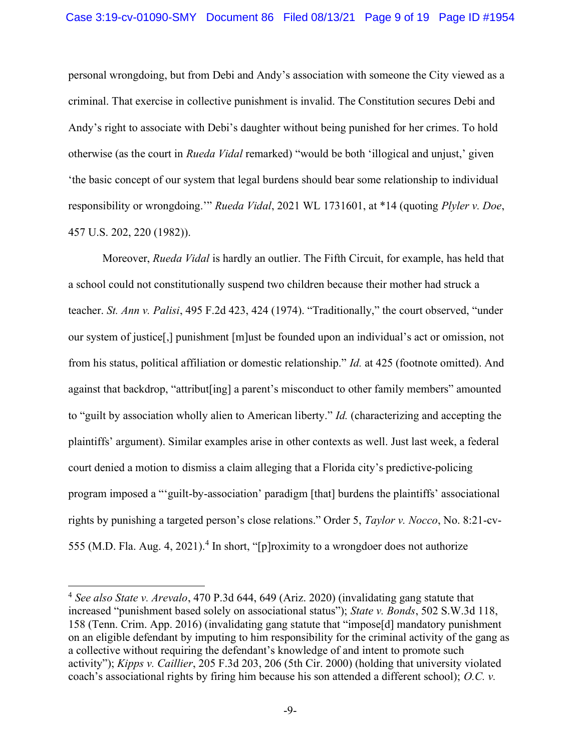personal wrongdoing, but from Debi and Andy's association with someone the City viewed as a criminal. That exercise in collective punishment is invalid. The Constitution secures Debi and Andy's right to associate with Debi's daughter without being punished for her crimes. To hold otherwise (as the court in Rueda Vidal remarked) "would be both 'illogical and unjust,' given 'the basic concept of our system that legal burdens should bear some relationship to individual responsibility or wrongdoing.'" Rueda Vidal, 2021 WL 1731601, at \*14 (quoting Plyler v. Doe, 457 U.S. 202, 220 (1982)).

Moreover, *Rueda Vidal* is hardly an outlier. The Fifth Circuit, for example, has held that a school could not constitutionally suspend two children because their mother had struck a teacher. St. Ann v. Palisi, 495 F.2d 423, 424 (1974). "Traditionally," the court observed, "under our system of justice[,] punishment [m]ust be founded upon an individual's act or omission, not from his status, political affiliation or domestic relationship." Id. at 425 (footnote omitted). And against that backdrop, "attribut[ing] a parent's misconduct to other family members" amounted to "guilt by association wholly alien to American liberty." Id. (characterizing and accepting the plaintiffs' argument). Similar examples arise in other contexts as well. Just last week, a federal court denied a motion to dismiss a claim alleging that a Florida city's predictive-policing program imposed a "'guilt-by-association' paradigm [that] burdens the plaintiffs' associational rights by punishing a targeted person's close relations." Order 5, Taylor v. Nocco, No. 8:21-cv-555 (M.D. Fla. Aug. 4, 2021).<sup>4</sup> In short, "[p]roximity to a wrongdoer does not authorize

 $4$  See also State v. Arevalo, 470 P.3d 644, 649 (Ariz. 2020) (invalidating gang statute that increased "punishment based solely on associational status"); State v. Bonds, 502 S.W.3d 118, 158 (Tenn. Crim. App. 2016) (invalidating gang statute that "impose[d] mandatory punishment on an eligible defendant by imputing to him responsibility for the criminal activity of the gang as a collective without requiring the defendant's knowledge of and intent to promote such activity"); Kipps v. Caillier, 205 F.3d 203, 206 (5th Cir. 2000) (holding that university violated coach's associational rights by firing him because his son attended a different school); O.C.  $v$ .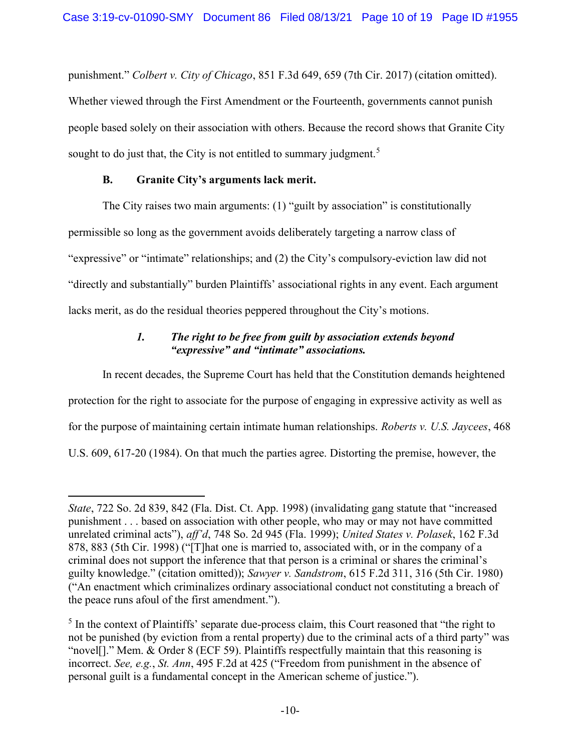punishment." Colbert v. City of Chicago, 851 F.3d 649, 659 (7th Cir. 2017) (citation omitted). Whether viewed through the First Amendment or the Fourteenth, governments cannot punish people based solely on their association with others. Because the record shows that Granite City sought to do just that, the City is not entitled to summary judgment.<sup>5</sup>

## B. Granite City's arguments lack merit.

The City raises two main arguments: (1) "guilt by association" is constitutionally permissible so long as the government avoids deliberately targeting a narrow class of "expressive" or "intimate" relationships; and (2) the City's compulsory-eviction law did not "directly and substantially" burden Plaintiffs' associational rights in any event. Each argument lacks merit, as do the residual theories peppered throughout the City's motions.

# 1. The right to be free from guilt by association extends beyond "expressive" and "intimate" associations.

In recent decades, the Supreme Court has held that the Constitution demands heightened protection for the right to associate for the purpose of engaging in expressive activity as well as for the purpose of maintaining certain intimate human relationships. Roberts v. U.S. Jaycees, 468 U.S. 609, 617-20 (1984). On that much the parties agree. Distorting the premise, however, the

State, 722 So. 2d 839, 842 (Fla. Dist. Ct. App. 1998) (invalidating gang statute that "increased punishment . . . based on association with other people, who may or may not have committed unrelated criminal acts"), aff'd, 748 So. 2d 945 (Fla. 1999); United States v. Polasek, 162 F.3d 878, 883 (5th Cir. 1998) ("[T]hat one is married to, associated with, or in the company of a criminal does not support the inference that that person is a criminal or shares the criminal's guilty knowledge." (citation omitted)); Sawyer v. Sandstrom, 615 F.2d 311, 316 (5th Cir. 1980) ("An enactment which criminalizes ordinary associational conduct not constituting a breach of the peace runs afoul of the first amendment.").

 $<sup>5</sup>$  In the context of Plaintiffs' separate due-process claim, this Court reasoned that "the right to</sup> not be punished (by eviction from a rental property) due to the criminal acts of a third party" was "novel[]." Mem. & Order 8 (ECF 59). Plaintiffs respectfully maintain that this reasoning is incorrect. See, e.g., St. Ann, 495 F.2d at 425 ("Freedom from punishment in the absence of personal guilt is a fundamental concept in the American scheme of justice.").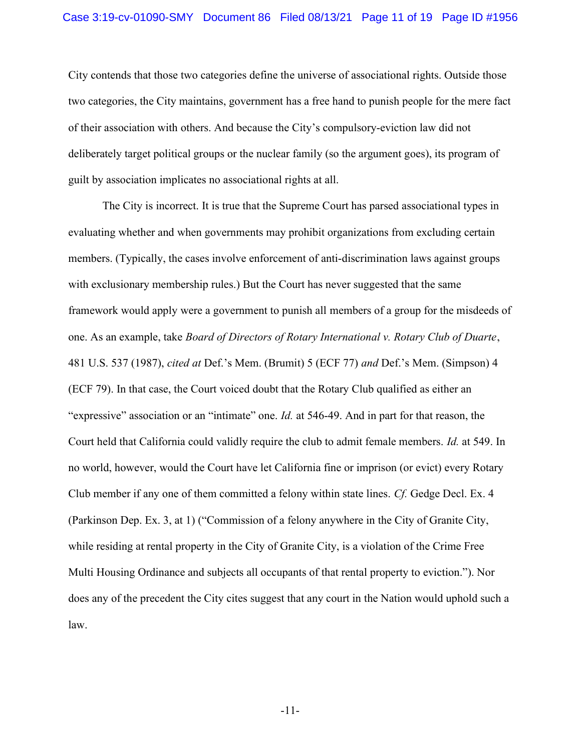City contends that those two categories define the universe of associational rights. Outside those two categories, the City maintains, government has a free hand to punish people for the mere fact of their association with others. And because the City's compulsory-eviction law did not deliberately target political groups or the nuclear family (so the argument goes), its program of guilt by association implicates no associational rights at all.

The City is incorrect. It is true that the Supreme Court has parsed associational types in evaluating whether and when governments may prohibit organizations from excluding certain members. (Typically, the cases involve enforcement of anti-discrimination laws against groups with exclusionary membership rules.) But the Court has never suggested that the same framework would apply were a government to punish all members of a group for the misdeeds of one. As an example, take Board of Directors of Rotary International v. Rotary Club of Duarte, 481 U.S. 537 (1987), cited at Def.'s Mem. (Brumit) 5 (ECF 77) and Def.'s Mem. (Simpson) 4 (ECF 79). In that case, the Court voiced doubt that the Rotary Club qualified as either an "expressive" association or an "intimate" one. *Id.* at 546-49. And in part for that reason, the Court held that California could validly require the club to admit female members. Id. at 549. In no world, however, would the Court have let California fine or imprison (or evict) every Rotary Club member if any one of them committed a felony within state lines. Cf. Gedge Decl. Ex. 4 (Parkinson Dep. Ex. 3, at 1) ("Commission of a felony anywhere in the City of Granite City, while residing at rental property in the City of Granite City, is a violation of the Crime Free Multi Housing Ordinance and subjects all occupants of that rental property to eviction."). Nor does any of the precedent the City cites suggest that any court in the Nation would uphold such a law.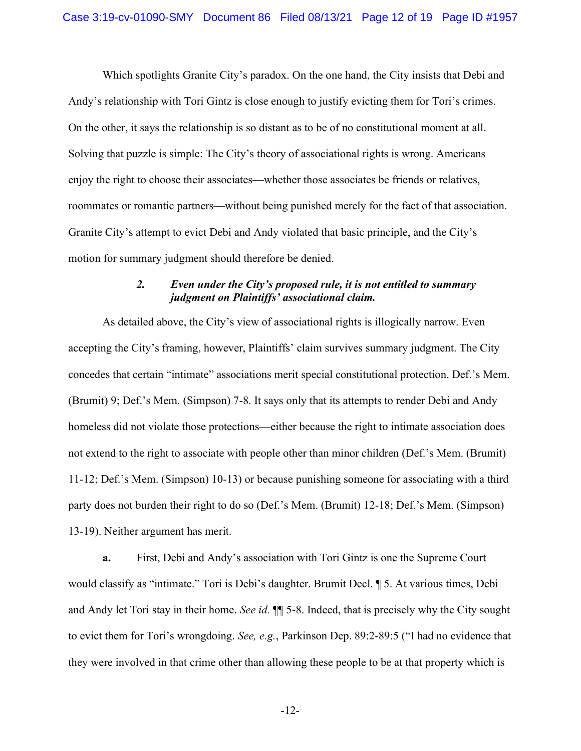Which spotlights Granite City's paradox. On the one hand, the City insists that Debi and Andy's relationship with Tori Gintz is close enough to justify evicting them for Tori's crimes. On the other, it says the relationship is so distant as to be of no constitutional moment at all. Solving that puzzle is simple: The City's theory of associational rights is wrong. Americans enjoy the right to choose their associates—whether those associates be friends or relatives, roommates or romantic partners—without being punished merely for the fact of that association. Granite City's attempt to evict Debi and Andy violated that basic principle, and the City's motion for summary judgment should therefore be denied.

## 2. Even under the City's proposed rule, it is not entitled to summary judgment on Plaintiffs' associational claim.

As detailed above, the City's view of associational rights is illogically narrow. Even accepting the City's framing, however, Plaintiffs' claim survives summary judgment. The City concedes that certain "intimate" associations merit special constitutional protection. Def.'s Mem. (Brumit) 9; Def.'s Mem. (Simpson) 7-8. It says only that its attempts to render Debi and Andy homeless did not violate those protections—either because the right to intimate association does not extend to the right to associate with people other than minor children (Def.'s Mem. (Brumit) 11-12; Def.'s Mem. (Simpson) 10-13) or because punishing someone for associating with a third party does not burden their right to do so (Def.'s Mem. (Brumit) 12-18; Def.'s Mem. (Simpson) 13-19). Neither argument has merit.

a. First, Debi and Andy's association with Tori Gintz is one the Supreme Court would classify as "intimate." Tori is Debi's daughter. Brumit Decl. ¶ 5. At various times, Debi and Andy let Tori stay in their home. See id.  $\P$  5-8. Indeed, that is precisely why the City sought to evict them for Tori's wrongdoing. See, e.g., Parkinson Dep. 89:2-89:5 ("I had no evidence that they were involved in that crime other than allowing these people to be at that property which is

-12-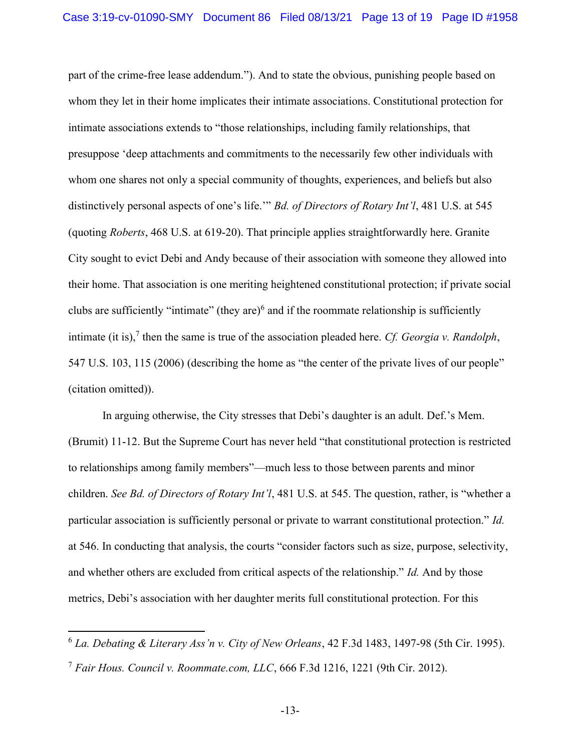part of the crime-free lease addendum."). And to state the obvious, punishing people based on whom they let in their home implicates their intimate associations. Constitutional protection for intimate associations extends to "those relationships, including family relationships, that presuppose 'deep attachments and commitments to the necessarily few other individuals with whom one shares not only a special community of thoughts, experiences, and beliefs but also distinctively personal aspects of one's life." Bd. of Directors of Rotary Int'l, 481 U.S. at 545 (quoting Roberts, 468 U.S. at 619-20). That principle applies straightforwardly here. Granite City sought to evict Debi and Andy because of their association with someone they allowed into their home. That association is one meriting heightened constitutional protection; if private social clubs are sufficiently "intimate" (they are) $6$  and if the roommate relationship is sufficiently intimate (it is),<sup>7</sup> then the same is true of the association pleaded here. Cf. Georgia v. Randolph, 547 U.S. 103, 115 (2006) (describing the home as "the center of the private lives of our people" (citation omitted)).

In arguing otherwise, the City stresses that Debi's daughter is an adult. Def.'s Mem. (Brumit) 11-12. But the Supreme Court has never held "that constitutional protection is restricted to relationships among family members"—much less to those between parents and minor children. See Bd. of Directors of Rotary Int'l, 481 U.S. at 545. The question, rather, is "whether a particular association is sufficiently personal or private to warrant constitutional protection." Id. at 546. In conducting that analysis, the courts "consider factors such as size, purpose, selectivity, and whether others are excluded from critical aspects of the relationship." Id. And by those metrics, Debi's association with her daughter merits full constitutional protection. For this

 $6$  La. Debating & Literary Ass'n y. City of New Orleans, 42 F.3d 1483, 1497-98 (5th Cir. 1995).

<sup>&</sup>lt;sup>7</sup> Fair Hous. Council v. Roommate.com, LLC, 666 F.3d 1216, 1221 (9th Cir. 2012).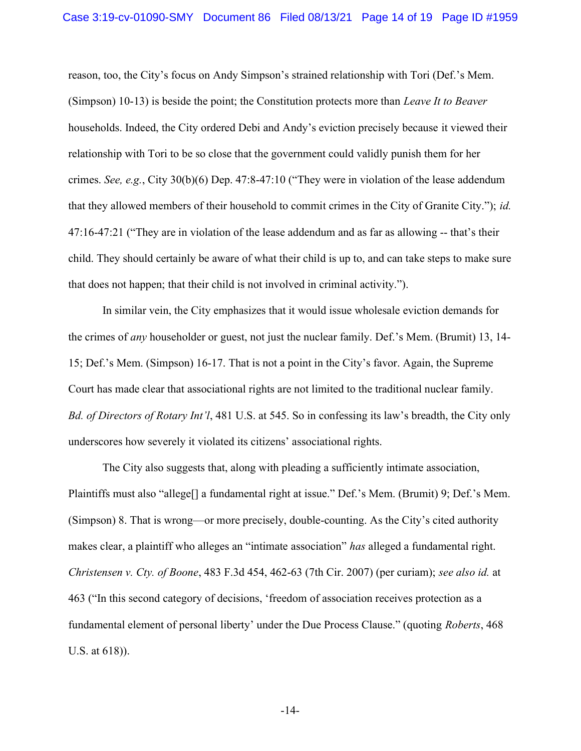reason, too, the City's focus on Andy Simpson's strained relationship with Tori (Def.'s Mem. (Simpson) 10-13) is beside the point; the Constitution protects more than *Leave It to Beaver* households. Indeed, the City ordered Debi and Andy's eviction precisely because it viewed their relationship with Tori to be so close that the government could validly punish them for her crimes. See, e.g., City 30(b)(6) Dep. 47:8-47:10 ("They were in violation of the lease addendum that they allowed members of their household to commit crimes in the City of Granite City."); id. 47:16-47:21 ("They are in violation of the lease addendum and as far as allowing -- that's their child. They should certainly be aware of what their child is up to, and can take steps to make sure that does not happen; that their child is not involved in criminal activity.").

In similar vein, the City emphasizes that it would issue wholesale eviction demands for the crimes of any householder or guest, not just the nuclear family. Def.'s Mem. (Brumit) 13, 14- 15; Def.'s Mem. (Simpson) 16-17. That is not a point in the City's favor. Again, the Supreme Court has made clear that associational rights are not limited to the traditional nuclear family. Bd. of Directors of Rotary Int'l, 481 U.S. at 545. So in confessing its law's breadth, the City only underscores how severely it violated its citizens' associational rights.

The City also suggests that, along with pleading a sufficiently intimate association, Plaintiffs must also "allege[] a fundamental right at issue." Def.'s Mem. (Brumit) 9; Def.'s Mem. (Simpson) 8. That is wrong—or more precisely, double-counting. As the City's cited authority makes clear, a plaintiff who alleges an "intimate association" has alleged a fundamental right. Christensen v. Cty. of Boone, 483 F.3d 454, 462-63 (7th Cir. 2007) (per curiam); see also id. at 463 ("In this second category of decisions, 'freedom of association receives protection as a fundamental element of personal liberty' under the Due Process Clause." (quoting Roberts, 468 U.S. at 618)).

-14-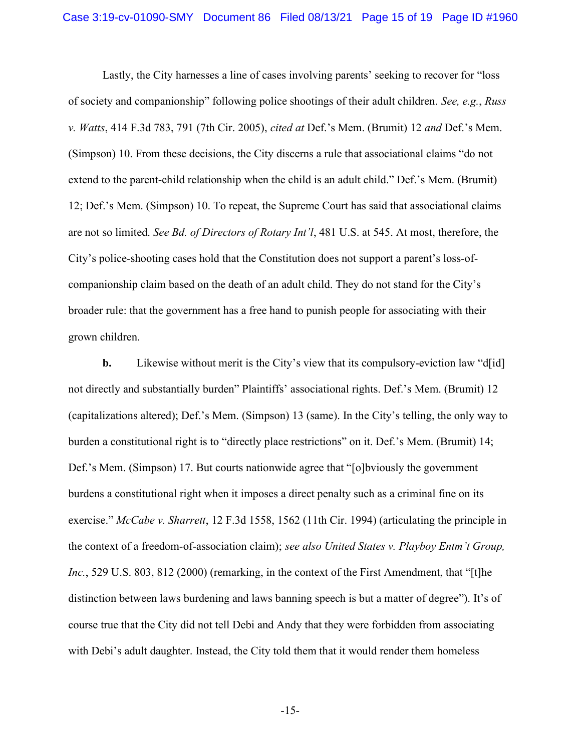Lastly, the City harnesses a line of cases involving parents' seeking to recover for "loss of society and companionship" following police shootings of their adult children. See, e.g., Russ v. Watts, 414 F.3d 783, 791 (7th Cir. 2005), cited at Def.'s Mem. (Brumit) 12 and Def.'s Mem. (Simpson) 10. From these decisions, the City discerns a rule that associational claims "do not extend to the parent-child relationship when the child is an adult child." Def.'s Mem. (Brumit) 12; Def.'s Mem. (Simpson) 10. To repeat, the Supreme Court has said that associational claims are not so limited. See Bd. of Directors of Rotary Int'l, 481 U.S. at 545. At most, therefore, the City's police-shooting cases hold that the Constitution does not support a parent's loss-ofcompanionship claim based on the death of an adult child. They do not stand for the City's broader rule: that the government has a free hand to punish people for associating with their grown children.

**b.** Likewise without merit is the City's view that its compulsory-eviction law "d[id] not directly and substantially burden" Plaintiffs' associational rights. Def.'s Mem. (Brumit) 12 (capitalizations altered); Def.'s Mem. (Simpson) 13 (same). In the City's telling, the only way to burden a constitutional right is to "directly place restrictions" on it. Def.'s Mem. (Brumit) 14; Def.'s Mem. (Simpson) 17. But courts nationwide agree that "[o]bviously the government burdens a constitutional right when it imposes a direct penalty such as a criminal fine on its exercise." McCabe v. Sharrett, 12 F.3d 1558, 1562 (11th Cir. 1994) (articulating the principle in the context of a freedom-of-association claim); see also United States v. Playboy Entm't Group, Inc., 529 U.S. 803, 812 (2000) (remarking, in the context of the First Amendment, that "[t]he distinction between laws burdening and laws banning speech is but a matter of degree"). It's of course true that the City did not tell Debi and Andy that they were forbidden from associating with Debi's adult daughter. Instead, the City told them that it would render them homeless

-15-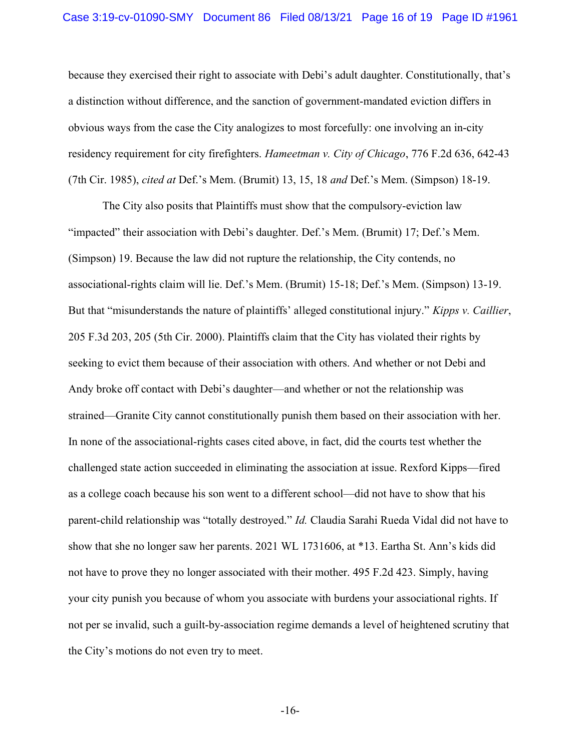because they exercised their right to associate with Debi's adult daughter. Constitutionally, that's a distinction without difference, and the sanction of government-mandated eviction differs in obvious ways from the case the City analogizes to most forcefully: one involving an in-city residency requirement for city firefighters. Hameetman v. City of Chicago, 776 F.2d 636, 642-43 (7th Cir. 1985), cited at Def.'s Mem. (Brumit) 13, 15, 18 and Def.'s Mem. (Simpson) 18-19.

The City also posits that Plaintiffs must show that the compulsory-eviction law "impacted" their association with Debi's daughter. Def.'s Mem. (Brumit) 17; Def.'s Mem. (Simpson) 19. Because the law did not rupture the relationship, the City contends, no associational-rights claim will lie. Def.'s Mem. (Brumit) 15-18; Def.'s Mem. (Simpson) 13-19. But that "misunderstands the nature of plaintiffs' alleged constitutional injury." Kipps v. Caillier, 205 F.3d 203, 205 (5th Cir. 2000). Plaintiffs claim that the City has violated their rights by seeking to evict them because of their association with others. And whether or not Debi and Andy broke off contact with Debi's daughter—and whether or not the relationship was strained—Granite City cannot constitutionally punish them based on their association with her. In none of the associational-rights cases cited above, in fact, did the courts test whether the challenged state action succeeded in eliminating the association at issue. Rexford Kipps—fired as a college coach because his son went to a different school—did not have to show that his parent-child relationship was "totally destroyed." Id. Claudia Sarahi Rueda Vidal did not have to show that she no longer saw her parents. 2021 WL 1731606, at \*13. Eartha St. Ann's kids did not have to prove they no longer associated with their mother. 495 F.2d 423. Simply, having your city punish you because of whom you associate with burdens your associational rights. If not per se invalid, such a guilt-by-association regime demands a level of heightened scrutiny that the City's motions do not even try to meet.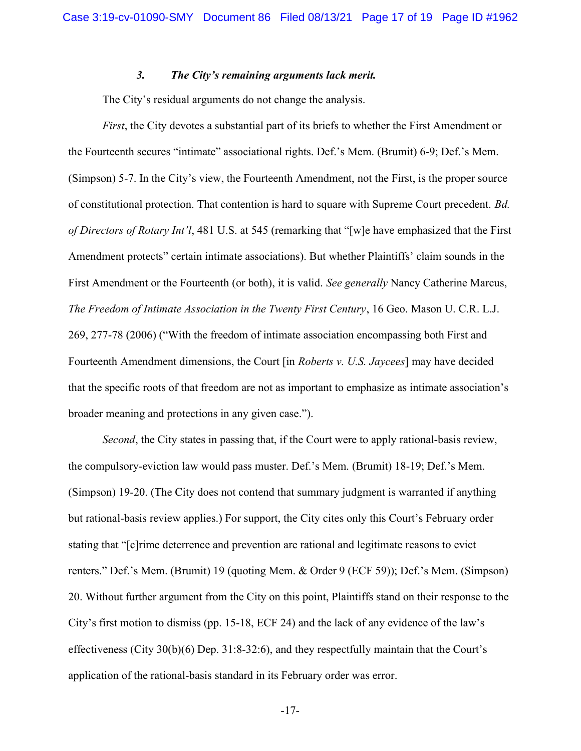#### 3. The City's remaining arguments lack merit.

The City's residual arguments do not change the analysis.

First, the City devotes a substantial part of its briefs to whether the First Amendment or the Fourteenth secures "intimate" associational rights. Def.'s Mem. (Brumit) 6-9; Def.'s Mem. (Simpson) 5-7. In the City's view, the Fourteenth Amendment, not the First, is the proper source of constitutional protection. That contention is hard to square with Supreme Court precedent. Bd. of Directors of Rotary Int'l, 481 U.S. at 545 (remarking that "[w]e have emphasized that the First Amendment protects" certain intimate associations). But whether Plaintiffs' claim sounds in the First Amendment or the Fourteenth (or both), it is valid. See generally Nancy Catherine Marcus, The Freedom of Intimate Association in the Twenty First Century, 16 Geo. Mason U. C.R. L.J. 269, 277-78 (2006) ("With the freedom of intimate association encompassing both First and Fourteenth Amendment dimensions, the Court [in *Roberts v. U.S. Jaycees*] may have decided that the specific roots of that freedom are not as important to emphasize as intimate association's broader meaning and protections in any given case.").

Second, the City states in passing that, if the Court were to apply rational-basis review, the compulsory-eviction law would pass muster. Def.'s Mem. (Brumit) 18-19; Def.'s Mem. (Simpson) 19-20. (The City does not contend that summary judgment is warranted if anything but rational-basis review applies.) For support, the City cites only this Court's February order stating that "[c]rime deterrence and prevention are rational and legitimate reasons to evict renters." Def.'s Mem. (Brumit) 19 (quoting Mem. & Order 9 (ECF 59)); Def.'s Mem. (Simpson) 20. Without further argument from the City on this point, Plaintiffs stand on their response to the City's first motion to dismiss (pp. 15-18, ECF 24) and the lack of any evidence of the law's effectiveness (City 30(b)(6) Dep. 31:8-32:6), and they respectfully maintain that the Court's application of the rational-basis standard in its February order was error.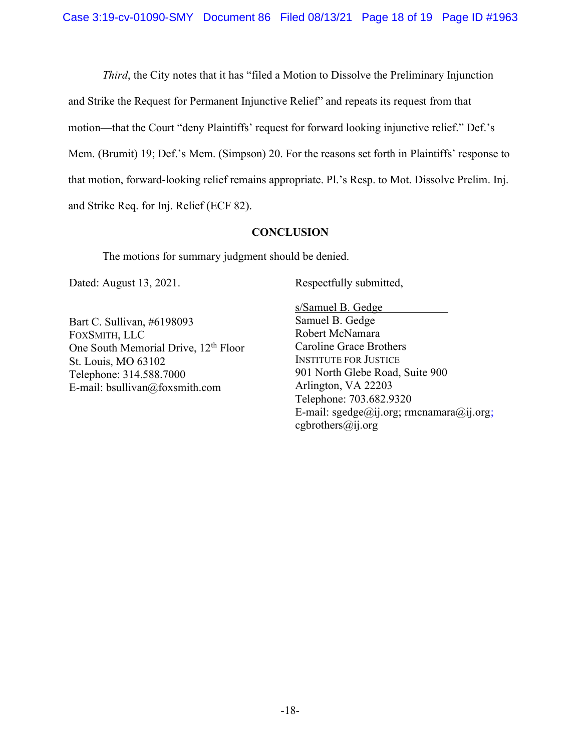Third, the City notes that it has "filed a Motion to Dissolve the Preliminary Injunction and Strike the Request for Permanent Injunctive Relief" and repeats its request from that motion—that the Court "deny Plaintiffs' request for forward looking injunctive relief." Def.'s Mem. (Brumit) 19; Def.'s Mem. (Simpson) 20. For the reasons set forth in Plaintiffs' response to that motion, forward-looking relief remains appropriate. Pl.'s Resp. to Mot. Dissolve Prelim. Inj. and Strike Req. for Inj. Relief (ECF 82).

#### **CONCLUSION**

The motions for summary judgment should be denied.

Dated: August 13, 2021.

Bart C. Sullivan, #6198093 FOXSMITH, LLC One South Memorial Drive, 12<sup>th</sup> Floor St. Louis, MO 63102 Telephone: 314.588.7000 E-mail: bsullivan@foxsmith.com

Respectfully submitted,

s/Samuel B. Gedge . Samuel B. Gedge Robert McNamara Caroline Grace Brothers INSTITUTE FOR JUSTICE 901 North Glebe Road, Suite 900 Arlington, VA 22203 Telephone: 703.682.9320 E-mail:  $\text{seedge}(\widehat{a}$ ij.org; rmcnamara $(\widehat{a}$ ij.org; cgbrothers $(a)$ ij.org